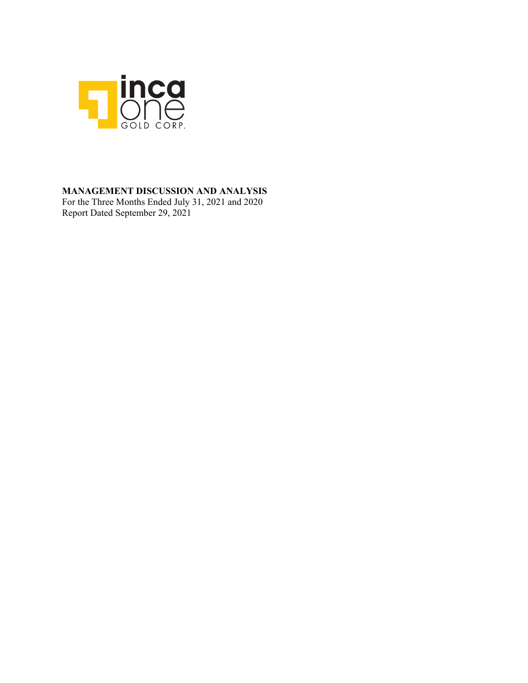

### **MANAGEMENT DISCUSSION AND ANALYSIS**

For the Three Months Ended July 31, 2021 and 2020 Report Dated September 29, 2021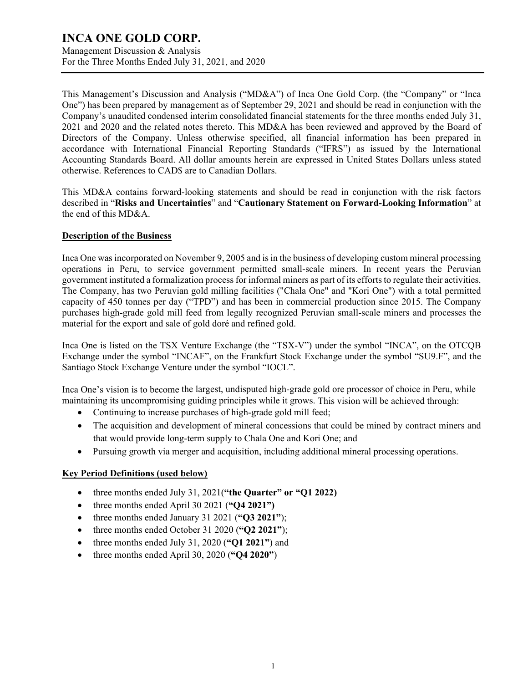Management Discussion & Analysis For the Three Months Ended July 31, 2021, and 2020

This Management's Discussion and Analysis ("MD&A") of Inca One Gold Corp. (the "Company" or "Inca One") has been prepared by management as of September 29, 2021 and should be read in conjunction with the Company's unaudited condensed interim consolidated financial statements for the three months ended July 31, 2021 and 2020 and the related notes thereto. This MD&A has been reviewed and approved by the Board of Directors of the Company. Unless otherwise specified, all financial information has been prepared in accordance with International Financial Reporting Standards ("IFRS") as issued by the International Accounting Standards Board. All dollar amounts herein are expressed in United States Dollars unless stated otherwise. References to CAD\$ are to Canadian Dollars.

This MD&A contains forward-looking statements and should be read in conjunction with the risk factors described in "**Risks and Uncertainties**" and "**Cautionary Statement on Forward-Looking Information**" at the end of this MD&A.

### **Description of the Business**

Inca One was incorporated on November 9, 2005 and is in the business of developing custom mineral processing operations in Peru, to service government permitted small-scale miners. In recent years the Peruvian government instituted a formalization process for informal miners as part of its efforts to regulate their activities. The Company, has two Peruvian gold milling facilities ("Chala One" and "Kori One") with a total permitted capacity of 450 tonnes per day ("TPD") and has been in commercial production since 2015. The Company purchases high-grade gold mill feed from legally recognized Peruvian small-scale miners and processes the material for the export and sale of gold doré and refined gold.

Inca One is listed on the TSX Venture Exchange (the "TSX-V") under the symbol "INCA", on the OTCQB Exchange under the symbol "INCAF", on the Frankfurt Stock Exchange under the symbol "SU9.F", and the Santiago Stock Exchange Venture under the symbol "IOCL".

Inca One's vision is to become the largest, undisputed high-grade gold ore processor of choice in Peru, while maintaining its uncompromising guiding principles while it grows. This vision will be achieved through:

- Continuing to increase purchases of high-grade gold mill feed;
- The acquisition and development of mineral concessions that could be mined by contract miners and that would provide long-term supply to Chala One and Kori One; and
- Pursuing growth via merger and acquisition, including additional mineral processing operations.

### **Key Period Definitions (used below)**

- three months ended July 31, 2021(**"the Quarter" or "Q1 2022)**
- three months ended April 30 2021 (**"Q4 2021")**
- three months ended January 31 2021 (**"Q3 2021"**);
- three months ended October 31 2020 (**"Q2 2021"**);
- three months ended July 31, 2020 (**"Q1 2021"**) and
- three months ended April 30, 2020 (**"Q4 2020"**)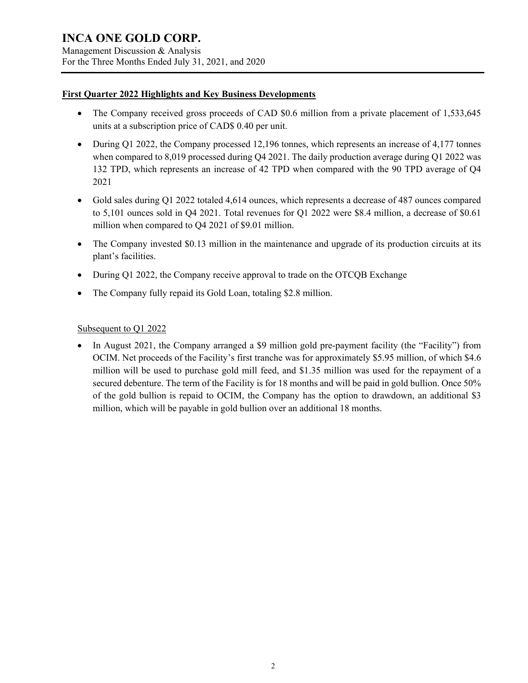Management Discussion & Analysis For the Three Months Ended July 31, 2021, and 2020

### **First Quarter 2022 Highlights and Key Business Developments**

- The Company received gross proceeds of CAD \$0.6 million from a private placement of 1,533,645 units at a subscription price of CAD\$ 0.40 per unit.
- During Q1 2022, the Company processed 12,196 tonnes, which represents an increase of 4,177 tonnes when compared to 8,019 processed during Q4 2021. The daily production average during Q1 2022 was 132 TPD, which represents an increase of 42 TPD when compared with the 90 TPD average of Q4 2021
- Gold sales during Q1 2022 totaled 4,614 ounces, which represents a decrease of 487 ounces compared to 5,101 ounces sold in Q4 2021. Total revenues for Q1 2022 were \$8.4 million, a decrease of \$0.61 million when compared to Q4 2021 of \$9.01 million.
- The Company invested \$0.13 million in the maintenance and upgrade of its production circuits at its plant's facilities.
- During Q1 2022, the Company receive approval to trade on the OTCQB Exchange
- The Company fully repaid its Gold Loan, totaling \$2.8 million.

### Subsequent to Q1 2022

• In August 2021, the Company arranged a \$9 million gold pre-payment facility (the "Facility") from OCIM. Net proceeds of the Facility's first tranche was for approximately \$5.95 million, of which \$4.6 million will be used to purchase gold mill feed, and \$1.35 million was used for the repayment of a secured debenture. The term of the Facility is for 18 months and will be paid in gold bullion. Once 50% of the gold bullion is repaid to OCIM, the Company has the option to drawdown, an additional \$3 million, which will be payable in gold bullion over an additional 18 months.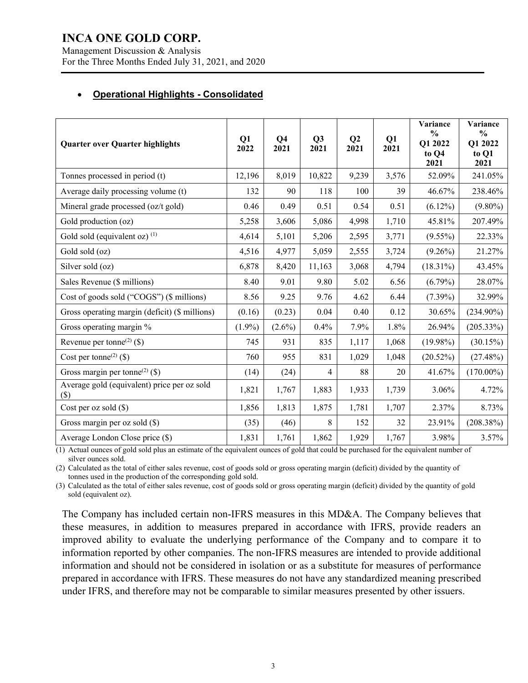Management Discussion & Analysis For the Three Months Ended July 31, 2021, and 2020

### • **Operational Highlights - Consolidated**

| <b>Quarter over Quarter highlights</b>                | Q1<br>2022 | Q <sub>4</sub><br>2021 | Q <sub>3</sub><br>2021 | Q <sub>2</sub><br>2021 | Q1<br>2021 | Variance<br>$\frac{0}{0}$<br>Q1 2022<br>to Q4<br>2021 | Variance<br>$\frac{0}{0}$<br>Q1 2022<br>to Q1<br>2021 |
|-------------------------------------------------------|------------|------------------------|------------------------|------------------------|------------|-------------------------------------------------------|-------------------------------------------------------|
| Tonnes processed in period (t)                        | 12,196     | 8,019                  | 10,822                 | 9,239                  | 3,576      | 52.09%                                                | 241.05%                                               |
| Average daily processing volume (t)                   | 132        | 90                     | 118                    | 100                    | 39         | 46.67%                                                | 238.46%                                               |
| Mineral grade processed (oz/t gold)                   | 0.46       | 0.49                   | 0.51                   | 0.54                   | 0.51       | $(6.12\%)$                                            | $(9.80\%)$                                            |
| Gold production (oz)                                  | 5,258      | 3,606                  | 5,086                  | 4,998                  | 1,710      | 45.81%                                                | 207.49%                                               |
| Gold sold (equivalent oz) <sup>(1)</sup>              | 4,614      | 5,101                  | 5,206                  | 2,595                  | 3,771      | $(9.55\%)$                                            | 22.33%                                                |
| Gold sold (oz)                                        | 4,516      | 4,977                  | 5,059                  | 2,555                  | 3,724      | $(9.26\%)$                                            | 21.27%                                                |
| Silver sold (oz)                                      | 6,878      | 8,420                  | 11,163                 | 3,068                  | 4,794      | $(18.31\%)$                                           | 43.45%                                                |
| Sales Revenue (\$ millions)                           | 8.40       | 9.01                   | 9.80                   | 5.02                   | 6.56       | $(6.79\%)$                                            | 28.07%                                                |
| Cost of goods sold ("COGS") (\$ millions)             | 8.56       | 9.25                   | 9.76                   | 4.62                   | 6.44       | $(7.39\%)$                                            | 32.99%                                                |
| Gross operating margin (deficit) (\$ millions)        | (0.16)     | (0.23)                 | 0.04                   | 0.40                   | 0.12       | 30.65%                                                | $(234.90\%)$                                          |
| Gross operating margin %                              | $(1.9\%)$  | $(2.6\%)$              | 0.4%                   | 7.9%                   | 1.8%       | 26.94%                                                | (205.33%)                                             |
| Revenue per tonne <sup>(2)</sup> (\$)                 | 745        | 931                    | 835                    | 1,117                  | 1,068      | $(19.98\%)$                                           | (30.15%)                                              |
| Cost per tonne <sup>(2)</sup> (\$)                    | 760        | 955                    | 831                    | 1,029                  | 1,048      | (20.52%)                                              | (27.48%)                                              |
| Gross margin per tonne <sup>(2)</sup> (\$)            | (14)       | (24)                   | 4                      | 88                     | 20         | 41.67%                                                | $(170.00\%)$                                          |
| Average gold (equivalent) price per oz sold<br>$(\$)$ | 1,821      | 1,767                  | 1,883                  | 1,933                  | 1,739      | 3.06%                                                 | 4.72%                                                 |
| Cost per oz sold (\$)                                 | 1,856      | 1,813                  | 1,875                  | 1,781                  | 1,707      | 2.37%                                                 | 8.73%                                                 |
| Gross margin per oz sold $(\$)$                       | (35)       | (46)                   | 8                      | 152                    | 32         | 23.91%                                                | (208.38%)                                             |
| Average London Close price (\$)                       | 1,831      | 1,761                  | 1,862                  | 1,929                  | 1,767      | 3.98%                                                 | 3.57%                                                 |

(1) Actual ounces of gold sold plus an estimate of the equivalent ounces of gold that could be purchased for the equivalent number of silver ounces sold.

(2) Calculated as the total of either sales revenue, cost of goods sold or gross operating margin (deficit) divided by the quantity of tonnes used in the production of the corresponding gold sold.

(3) Calculated as the total of either sales revenue, cost of goods sold or gross operating margin (deficit) divided by the quantity of gold sold (equivalent oz).

The Company has included certain non-IFRS measures in this MD&A. The Company believes that these measures, in addition to measures prepared in accordance with IFRS, provide readers an improved ability to evaluate the underlying performance of the Company and to compare it to information reported by other companies. The non-IFRS measures are intended to provide additional information and should not be considered in isolation or as a substitute for measures of performance prepared in accordance with IFRS. These measures do not have any standardized meaning prescribed under IFRS, and therefore may not be comparable to similar measures presented by other issuers.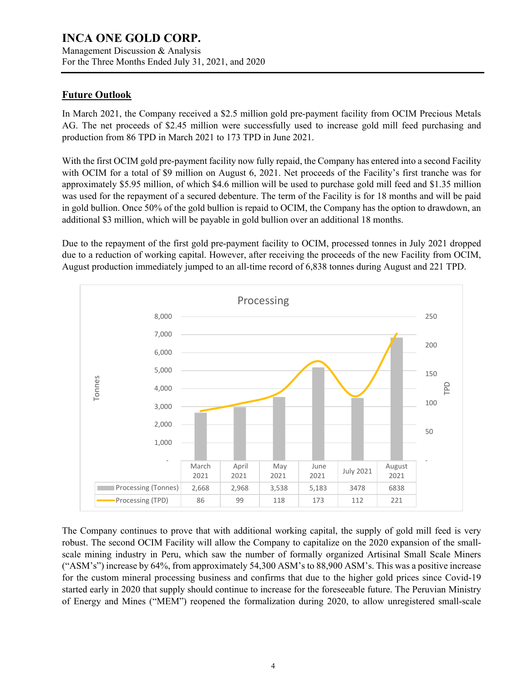Management Discussion & Analysis For the Three Months Ended July 31, 2021, and 2020

### **Future Outlook**

In March 2021, the Company received a \$2.5 million gold pre-payment facility from OCIM Precious Metals AG. The net proceeds of \$2.45 million were successfully used to increase gold mill feed purchasing and production from 86 TPD in March 2021 to 173 TPD in June 2021.

With the first OCIM gold pre-payment facility now fully repaid, the Company has entered into a second Facility with OCIM for a total of \$9 million on August 6, 2021. Net proceeds of the Facility's first tranche was for approximately \$5.95 million, of which \$4.6 million will be used to purchase gold mill feed and \$1.35 million was used for the repayment of a secured debenture. The term of the Facility is for 18 months and will be paid in gold bullion. Once 50% of the gold bullion is repaid to OCIM, the Company has the option to drawdown, an additional \$3 million, which will be payable in gold bullion over an additional 18 months.

Due to the repayment of the first gold pre-payment facility to OCIM, processed tonnes in July 2021 dropped due to a reduction of working capital. However, after receiving the proceeds of the new Facility from OCIM, August production immediately jumped to an all-time record of 6,838 tonnes during August and 221 TPD.



The Company continues to prove that with additional working capital, the supply of gold mill feed is very robust. The second OCIM Facility will allow the Company to capitalize on the 2020 expansion of the smallscale mining industry in Peru, which saw the number of formally organized Artisinal Small Scale Miners ("ASM's") increase by 64%, from approximately 54,300 ASM's to 88,900 ASM's. This was a positive increase for the custom mineral processing business and confirms that due to the higher gold prices since Covid-19 started early in 2020 that supply should continue to increase for the foreseeable future. The Peruvian Ministry of Energy and Mines ("MEM") reopened the formalization during 2020, to allow unregistered small-scale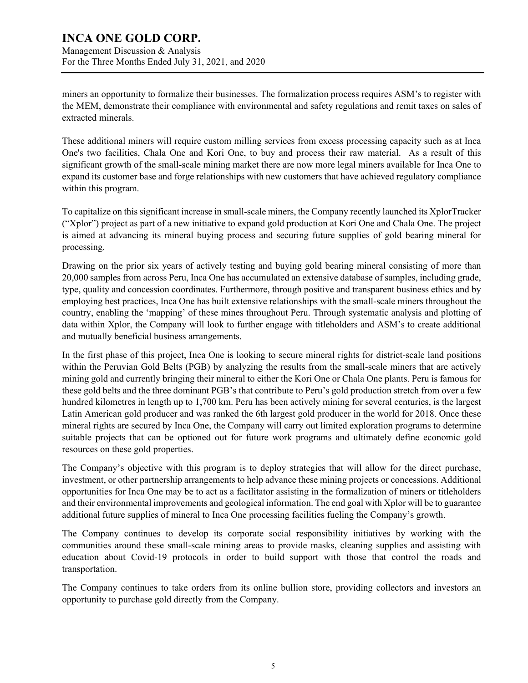Management Discussion & Analysis For the Three Months Ended July 31, 2021, and 2020

miners an opportunity to formalize their businesses. The formalization process requires ASM's to register with the MEM, demonstrate their compliance with environmental and safety regulations and remit taxes on sales of extracted minerals.

These additional miners will require custom milling services from excess processing capacity such as at Inca One's two facilities, Chala One and Kori One, to buy and process their raw material. As a result of this significant growth of the small-scale mining market there are now more legal miners available for Inca One to expand its customer base and forge relationships with new customers that have achieved regulatory compliance within this program.

To capitalize on this significant increase in small-scale miners, the Company recently launched its XplorTracker ("Xplor") project as part of a new initiative to expand gold production at Kori One and Chala One. The project is aimed at advancing its mineral buying process and securing future supplies of gold bearing mineral for processing.

Drawing on the prior six years of actively testing and buying gold bearing mineral consisting of more than 20,000 samples from across Peru, Inca One has accumulated an extensive database of samples, including grade, type, quality and concession coordinates. Furthermore, through positive and transparent business ethics and by employing best practices, Inca One has built extensive relationships with the small-scale miners throughout the country, enabling the 'mapping' of these mines throughout Peru. Through systematic analysis and plotting of data within Xplor, the Company will look to further engage with titleholders and ASM's to create additional and mutually beneficial business arrangements.

In the first phase of this project, Inca One is looking to secure mineral rights for district-scale land positions within the Peruvian Gold Belts (PGB) by analyzing the results from the small-scale miners that are actively mining gold and currently bringing their mineral to either the Kori One or Chala One plants. Peru is famous for these gold belts and the three dominant PGB's that contribute to Peru's gold production stretch from over a few hundred kilometres in length up to 1,700 km. Peru has been actively mining for several centuries, is the largest Latin American gold producer and was ranked the 6th largest gold producer in the world for 2018. Once these mineral rights are secured by Inca One, the Company will carry out limited exploration programs to determine suitable projects that can be optioned out for future work programs and ultimately define economic gold resources on these gold properties.

The Company's objective with this program is to deploy strategies that will allow for the direct purchase, investment, or other partnership arrangements to help advance these mining projects or concessions. Additional opportunities for Inca One may be to act as a facilitator assisting in the formalization of miners or titleholders and their environmental improvements and geological information. The end goal with Xplor will be to guarantee additional future supplies of mineral to Inca One processing facilities fueling the Company's growth.

The Company continues to develop its corporate social responsibility initiatives by working with the communities around these small-scale mining areas to provide masks, cleaning supplies and assisting with education about Covid-19 protocols in order to build support with those that control the roads and transportation.

The Company continues to take orders from its online bullion store, providing collectors and investors an opportunity to purchase gold directly from the Company.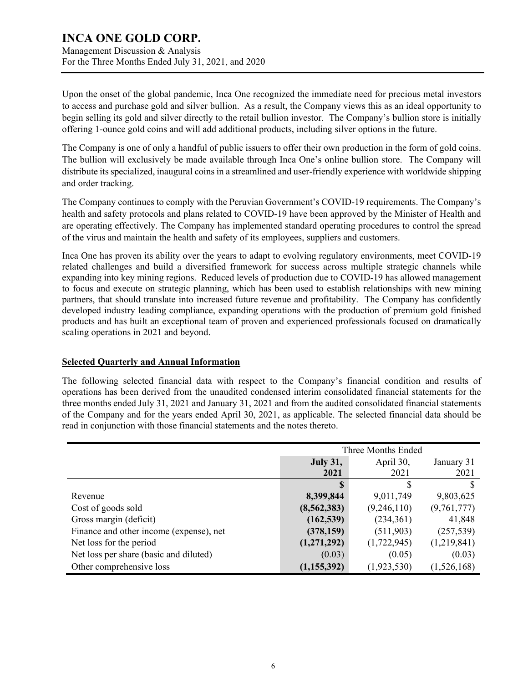Management Discussion & Analysis For the Three Months Ended July 31, 2021, and 2020

Upon the onset of the global pandemic, Inca One recognized the immediate need for precious metal investors to access and purchase gold and silver bullion. As a result, the Company views this as an ideal opportunity to begin selling its gold and silver directly to the retail bullion investor. The Company's bullion store is initially offering 1-ounce gold coins and will add additional products, including silver options in the future.

The Company is one of only a handful of public issuers to offer their own production in the form of gold coins. The bullion will exclusively be made available through Inca One's online bullion store. The Company will distribute its specialized, inaugural coins in a streamlined and user-friendly experience with worldwide shipping and order tracking.

The Company continues to comply with the Peruvian Government's COVID-19 requirements. The Company's health and safety protocols and plans related to COVID-19 have been approved by the Minister of Health and are operating effectively. The Company has implemented standard operating procedures to control the spread of the virus and maintain the health and safety of its employees, suppliers and customers.

Inca One has proven its ability over the years to adapt to evolving regulatory environments, meet COVID-19 related challenges and build a diversified framework for success across multiple strategic channels while expanding into key mining regions. Reduced levels of production due to COVID-19 has allowed management to focus and execute on strategic planning, which has been used to establish relationships with new mining partners, that should translate into increased future revenue and profitability. The Company has confidently developed industry leading compliance, expanding operations with the production of premium gold finished products and has built an exceptional team of proven and experienced professionals focused on dramatically scaling operations in 2021 and beyond.

### **Selected Quarterly and Annual Information**

The following selected financial data with respect to the Company's financial condition and results of operations has been derived from the unaudited condensed interim consolidated financial statements for the three months ended July 31, 2021 and January 31, 2021 and from the audited consolidated financial statements of the Company and for the years ended April 30, 2021, as applicable. The selected financial data should be read in conjunction with those financial statements and the notes thereto.

|                                         | Three Months Ended |             |             |  |
|-----------------------------------------|--------------------|-------------|-------------|--|
|                                         | <b>July 31,</b>    | April 30,   | January 31  |  |
|                                         | 2021               | 2021        | 2021        |  |
|                                         |                    |             |             |  |
| Revenue                                 | 8,399,844          | 9,011,749   | 9,803,625   |  |
| Cost of goods sold                      | (8,562,383)        | (9,246,110) | (9,761,777) |  |
| Gross margin (deficit)                  | (162, 539)         | (234,361)   | 41,848      |  |
| Finance and other income (expense), net | (378, 159)         | (511,903)   | (257, 539)  |  |
| Net loss for the period                 | (1,271,292)        | (1,722,945) | (1,219,841) |  |
| Net loss per share (basic and diluted)  | (0.03)             | (0.05)      | (0.03)      |  |
| Other comprehensive loss                | (1,155,392)        | (1,923,530) | (1,526,168) |  |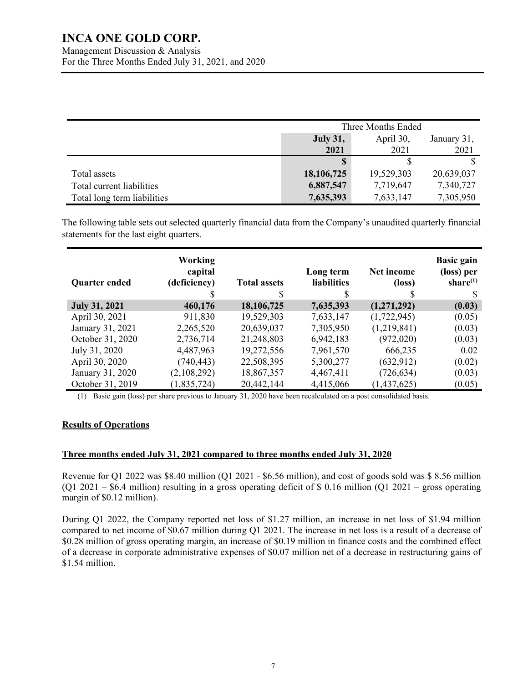Management Discussion & Analysis For the Three Months Ended July 31, 2021, and 2020

|                             | Three Months Ended                          |            |            |  |
|-----------------------------|---------------------------------------------|------------|------------|--|
|                             | April 30,<br><b>July 31,</b><br>January 31, |            |            |  |
|                             | 2021                                        | 2021       | 2021       |  |
|                             |                                             |            |            |  |
| Total assets                | 18,106,725                                  | 19,529,303 | 20,639,037 |  |
| Total current liabilities   | 6,887,547                                   | 7,719,647  | 7,340,727  |  |
| Total long term liabilities | 7,635,393                                   | 7,633,147  | 7,305,950  |  |

The following table sets out selected quarterly financial data from the Company's unaudited quarterly financial statements for the last eight quarters.

| <b>Quarter ended</b> | Working<br>capital<br>(deficiency) | <b>Total assets</b> | Long term<br><b>liabilities</b> | Net income<br>(loss) | <b>Basic gain</b><br>(loss) per<br>share $(1)$ |
|----------------------|------------------------------------|---------------------|---------------------------------|----------------------|------------------------------------------------|
|                      |                                    | S                   | S                               |                      |                                                |
| <b>July 31, 2021</b> | 460,176                            | 18,106,725          | 7,635,393                       | (1,271,292)          | (0.03)                                         |
| April 30, 2021       | 911,830                            | 19,529,303          | 7,633,147                       | (1,722,945)          | (0.05)                                         |
| January 31, 2021     | 2,265,520                          | 20,639,037          | 7,305,950                       | (1,219,841)          | (0.03)                                         |
| October 31, 2020     | 2,736,714                          | 21,248,803          | 6,942,183                       | (972, 020)           | (0.03)                                         |
| July 31, 2020        | 4,487,963                          | 19,272,556          | 7,961,570                       | 666,235              | 0.02                                           |
| April 30, 2020       | (740, 443)                         | 22,508,395          | 5,300,277                       | (632, 912)           | (0.02)                                         |
| January 31, 2020     | (2,108,292)                        | 18,867,357          | 4,467,411                       | (726, 634)           | (0.03)                                         |
| October 31, 2019     | (1,835,724)                        | 20,442,144          | 4,415,066                       | (1,437,625)          | (0.05)                                         |

(1) Basic gain (loss) per share previous to January 31, 2020 have been recalculated on a post consolidated basis.

### **Results of Operations**

### **Three months ended July 31, 2021 compared to three months ended July 31, 2020**

Revenue for Q1 2022 was \$8.40 million (Q1 2021 - \$6.56 million), and cost of goods sold was \$ 8.56 million (Q1 2021 – \$6.4 million) resulting in a gross operating deficit of \$ 0.16 million (Q1 2021 – gross operating margin of \$0.12 million).

During Q1 2022, the Company reported net loss of \$1.27 million, an increase in net loss of \$1.94 million compared to net income of \$0.67 million during Q1 2021. The increase in net loss is a result of a decrease of \$0.28 million of gross operating margin, an increase of \$0.19 million in finance costs and the combined effect of a decrease in corporate administrative expenses of \$0.07 million net of a decrease in restructuring gains of \$1.54 million.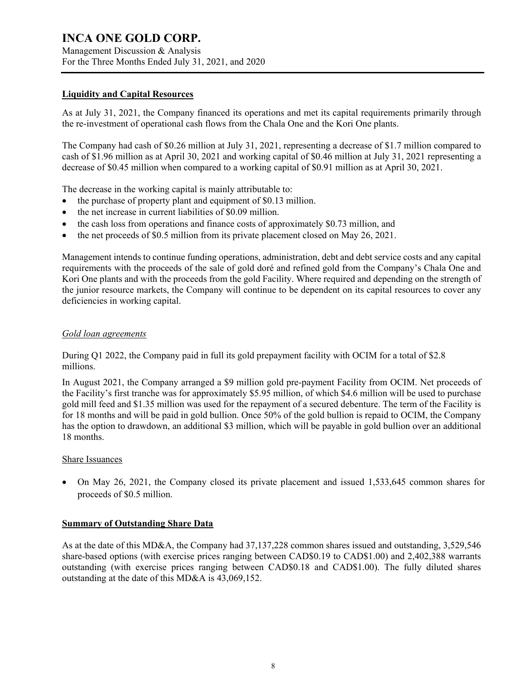Management Discussion & Analysis For the Three Months Ended July 31, 2021, and 2020

### **Liquidity and Capital Resources**

As at July 31, 2021, the Company financed its operations and met its capital requirements primarily through the re-investment of operational cash flows from the Chala One and the Kori One plants.

The Company had cash of \$0.26 million at July 31, 2021, representing a decrease of \$1.7 million compared to cash of \$1.96 million as at April 30, 2021 and working capital of \$0.46 million at July 31, 2021 representing a decrease of \$0.45 million when compared to a working capital of \$0.91 million as at April 30, 2021.

The decrease in the working capital is mainly attributable to:

- the purchase of property plant and equipment of \$0.13 million.
- the net increase in current liabilities of \$0.09 million.
- the cash loss from operations and finance costs of approximately \$0.73 million, and
- the net proceeds of \$0.5 million from its private placement closed on May 26, 2021.

Management intends to continue funding operations, administration, debt and debt service costs and any capital requirements with the proceeds of the sale of gold doré and refined gold from the Company's Chala One and Kori One plants and with the proceeds from the gold Facility. Where required and depending on the strength of the junior resource markets, the Company will continue to be dependent on its capital resources to cover any deficiencies in working capital.

### *Gold loan agreements*

During Q1 2022, the Company paid in full its gold prepayment facility with OCIM for a total of \$2.8 millions.

In August 2021, the Company arranged a \$9 million gold pre-payment Facility from OCIM. Net proceeds of the Facility's first tranche was for approximately \$5.95 million, of which \$4.6 million will be used to purchase gold mill feed and \$1.35 million was used for the repayment of a secured debenture. The term of the Facility is for 18 months and will be paid in gold bullion. Once 50% of the gold bullion is repaid to OCIM, the Company has the option to drawdown, an additional \$3 million, which will be payable in gold bullion over an additional 18 months.

### Share Issuances

• On May 26, 2021, the Company closed its private placement and issued 1,533,645 common shares for proceeds of \$0.5 million.

### **Summary of Outstanding Share Data**

As at the date of this MD&A, the Company had 37,137,228 common shares issued and outstanding, 3,529,546 share-based options (with exercise prices ranging between CAD\$0.19 to CAD\$1.00) and 2,402,388 warrants outstanding (with exercise prices ranging between CAD\$0.18 and CAD\$1.00). The fully diluted shares outstanding at the date of this MD&A is 43,069,152.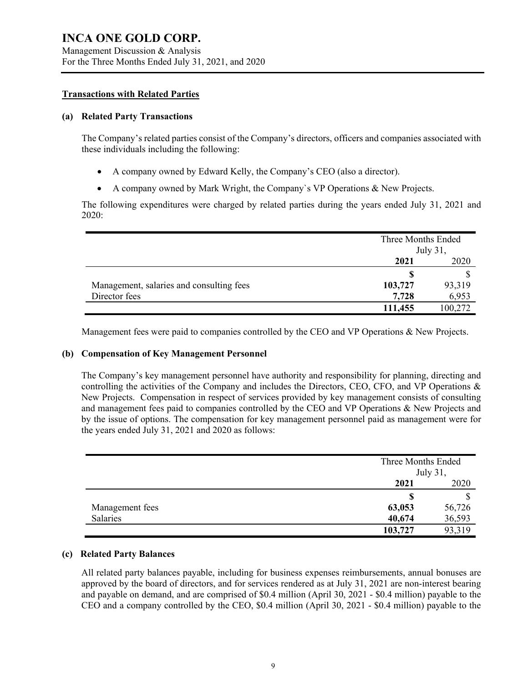Management Discussion & Analysis For the Three Months Ended July 31, 2021, and 2020

### **Transactions with Related Parties**

#### **(a) Related Party Transactions**

The Company's related parties consist of the Company's directors, officers and companies associated with these individuals including the following:

- A company owned by Edward Kelly, the Company's CEO (also a director).
- A company owned by Mark Wright, the Company`s VP Operations & New Projects.

The following expenditures were charged by related parties during the years ended July 31, 2021 and 2020:

|                                          | Three Months Ended<br>July 31, |         |
|------------------------------------------|--------------------------------|---------|
|                                          | 2021<br>2020                   |         |
|                                          | S                              |         |
| Management, salaries and consulting fees | 103,727                        | 93,319  |
| Director fees                            | 7,728                          | 6,953   |
|                                          | 111,455                        | 100,272 |

Management fees were paid to companies controlled by the CEO and VP Operations & New Projects.

### **(b) Compensation of Key Management Personnel**

The Company's key management personnel have authority and responsibility for planning, directing and controlling the activities of the Company and includes the Directors, CEO, CFO, and VP Operations & New Projects. Compensation in respect of services provided by key management consists of consulting and management fees paid to companies controlled by the CEO and VP Operations & New Projects and by the issue of options. The compensation for key management personnel paid as management were for the years ended July 31, 2021 and 2020 as follows:

|                 |         | Three Months Ended<br>July 31, |  |
|-----------------|---------|--------------------------------|--|
|                 | 2021    | 2020                           |  |
|                 | S       |                                |  |
| Management fees | 63,053  | 56,726                         |  |
| Salaries        | 40,674  | 36,593                         |  |
|                 | 103,727 | 93,319                         |  |

### **(c) Related Party Balances**

All related party balances payable, including for business expenses reimbursements, annual bonuses are approved by the board of directors, and for services rendered as at July 31, 2021 are non-interest bearing and payable on demand, and are comprised of \$0.4 million (April 30, 2021 - \$0.4 million) payable to the CEO and a company controlled by the CEO, \$0.4 million (April 30, 2021 - \$0.4 million) payable to the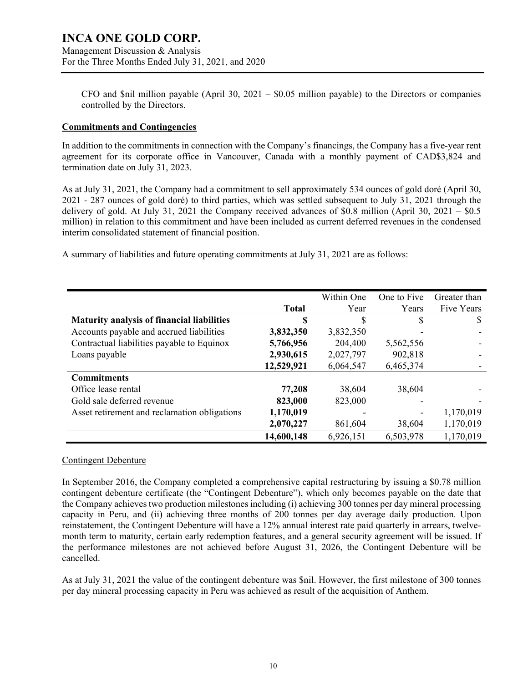Management Discussion & Analysis For the Three Months Ended July 31, 2021, and 2020

CFO and \$nil million payable (April 30,  $2021 - $0.05$  million payable) to the Directors or companies controlled by the Directors.

#### **Commitments and Contingencies**

In addition to the commitments in connection with the Company's financings, the Company has a five-year rent agreement for its corporate office in Vancouver, Canada with a monthly payment of CAD\$3,824 and termination date on July 31, 2023.

As at July 31, 2021, the Company had a commitment to sell approximately 534 ounces of gold doré (April 30, 2021 - 287 ounces of gold doré) to third parties, which was settled subsequent to July 31, 2021 through the delivery of gold. At July 31, 2021 the Company received advances of \$0.8 million (April 30, 2021 – \$0.5) million) in relation to this commitment and have been included as current deferred revenues in the condensed interim consolidated statement of financial position.

A summary of liabilities and future operating commitments at July 31, 2021 are as follows:

|                                                   |              | Within One | One to Five | Greater than |
|---------------------------------------------------|--------------|------------|-------------|--------------|
|                                                   | <b>Total</b> | Year       | Years       | Five Years   |
| <b>Maturity analysis of financial liabilities</b> | S            | S          | S           | S            |
| Accounts payable and accrued liabilities          | 3,832,350    | 3,832,350  |             |              |
| Contractual liabilities payable to Equinox        | 5,766,956    | 204,400    | 5,562,556   |              |
| Loans payable                                     | 2,930,615    | 2,027,797  | 902,818     |              |
|                                                   | 12,529,921   | 6,064,547  | 6,465,374   |              |
| <b>Commitments</b>                                |              |            |             |              |
| Office lease rental                               | 77,208       | 38,604     | 38,604      |              |
| Gold sale deferred revenue                        | 823,000      | 823,000    |             |              |
| Asset retirement and reclamation obligations      | 1,170,019    |            |             | 1,170,019    |
|                                                   | 2,070,227    | 861,604    | 38,604      | 1,170,019    |
|                                                   | 14,600,148   | 6,926,151  | 6,503,978   | 1,170,019    |

### Contingent Debenture

In September 2016, the Company completed a comprehensive capital restructuring by issuing a \$0.78 million contingent debenture certificate (the "Contingent Debenture"), which only becomes payable on the date that the Company achieves two production milestonesincluding (i) achieving 300 tonnes per day mineral processing capacity in Peru, and (ii) achieving three months of 200 tonnes per day average daily production. Upon reinstatement, the Contingent Debenture will have a 12% annual interest rate paid quarterly in arrears, twelvemonth term to maturity, certain early redemption features, and a general security agreement will be issued. If the performance milestones are not achieved before August 31, 2026, the Contingent Debenture will be cancelled.

As at July 31, 2021 the value of the contingent debenture was \$nil. However, the first milestone of 300 tonnes per day mineral processing capacity in Peru was achieved as result of the acquisition of Anthem.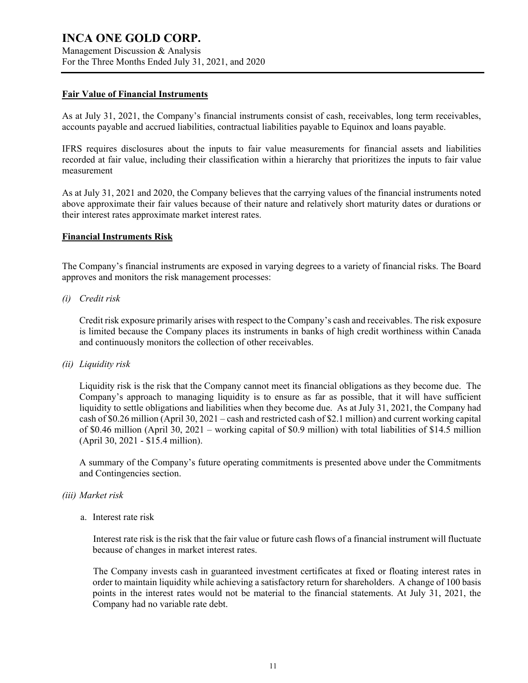Management Discussion & Analysis For the Three Months Ended July 31, 2021, and 2020

#### **Fair Value of Financial Instruments**

As at July 31, 2021, the Company's financial instruments consist of cash, receivables, long term receivables, accounts payable and accrued liabilities, contractual liabilities payable to Equinox and loans payable.

IFRS requires disclosures about the inputs to fair value measurements for financial assets and liabilities recorded at fair value, including their classification within a hierarchy that prioritizes the inputs to fair value measurement

As at July 31, 2021 and 2020, the Company believes that the carrying values of the financial instruments noted above approximate their fair values because of their nature and relatively short maturity dates or durations or their interest rates approximate market interest rates.

### **Financial Instruments Risk**

The Company's financial instruments are exposed in varying degrees to a variety of financial risks. The Board approves and monitors the risk management processes:

### *(i) Credit risk*

Credit risk exposure primarily arises with respect to the Company's cash and receivables. The risk exposure is limited because the Company places its instruments in banks of high credit worthiness within Canada and continuously monitors the collection of other receivables.

#### *(ii) Liquidity risk*

Liquidity risk is the risk that the Company cannot meet its financial obligations as they become due. The Company's approach to managing liquidity is to ensure as far as possible, that it will have sufficient liquidity to settle obligations and liabilities when they become due. As at July 31, 2021, the Company had cash of \$0.26 million (April 30, 2021 – cash and restricted cash of \$2.1 million) and current working capital of \$0.46 million (April 30, 2021 – working capital of \$0.9 million) with total liabilities of \$14.5 million (April 30, 2021 - \$15.4 million).

A summary of the Company's future operating commitments is presented above under the Commitments and Contingencies section.

### *(iii) Market risk*

a. Interest rate risk

Interest rate risk is the risk that the fair value or future cash flows of a financial instrument will fluctuate because of changes in market interest rates.

The Company invests cash in guaranteed investment certificates at fixed or floating interest rates in order to maintain liquidity while achieving a satisfactory return for shareholders. A change of 100 basis points in the interest rates would not be material to the financial statements. At July 31, 2021, the Company had no variable rate debt.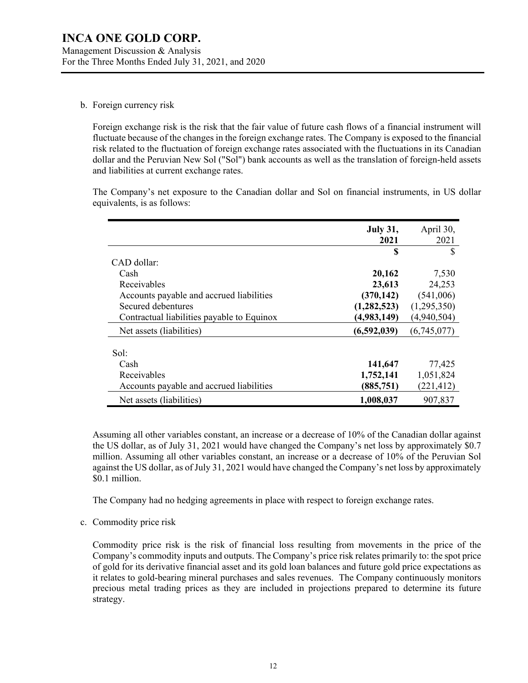### b. Foreign currency risk

Foreign exchange risk is the risk that the fair value of future cash flows of a financial instrument will fluctuate because of the changes in the foreign exchange rates. The Company is exposed to the financial risk related to the fluctuation of foreign exchange rates associated with the fluctuations in its Canadian dollar and the Peruvian New Sol ("Sol") bank accounts as well as the translation of foreign-held assets and liabilities at current exchange rates.

The Company's net exposure to the Canadian dollar and Sol on financial instruments, in US dollar equivalents, is as follows:

|                                            | <b>July 31,</b><br>2021 | April 30,<br>2021 |
|--------------------------------------------|-------------------------|-------------------|
|                                            | S                       | <b>S</b>          |
| $CAD$ dollar:                              |                         |                   |
| Cash                                       | 20,162                  | 7,530             |
| Receivables                                | 23,613                  | 24,253            |
| Accounts payable and accrued liabilities   | (370, 142)              | (541,006)         |
| Secured debentures                         | (1, 282, 523)           | (1,295,350)       |
| Contractual liabilities payable to Equinox | (4,983,149)             | (4,940,504)       |
| Net assets (liabilities)                   | (6,592,039)             | (6,745,077)       |
|                                            |                         |                   |
| Sol:                                       |                         |                   |
| Cash                                       | 141,647                 | 77,425            |
| Receivables                                | 1,752,141               | 1,051,824         |
| Accounts payable and accrued liabilities   | (885, 751)              | (221, 412)        |
| Net assets (liabilities)                   | 1,008,037               | 907,837           |

Assuming all other variables constant, an increase or a decrease of 10% of the Canadian dollar against the US dollar, as of July 31, 2021 would have changed the Company's net loss by approximately \$0.7 million. Assuming all other variables constant, an increase or a decrease of 10% of the Peruvian Sol against the US dollar, as of July 31, 2021 would have changed the Company's net loss by approximately \$0.1 million.

The Company had no hedging agreements in place with respect to foreign exchange rates.

c. Commodity price risk

Commodity price risk is the risk of financial loss resulting from movements in the price of the Company's commodity inputs and outputs. The Company's price risk relates primarily to: the spot price of gold for its derivative financial asset and its gold loan balances and future gold price expectations as it relates to gold-bearing mineral purchases and sales revenues. The Company continuously monitors precious metal trading prices as they are included in projections prepared to determine its future strategy.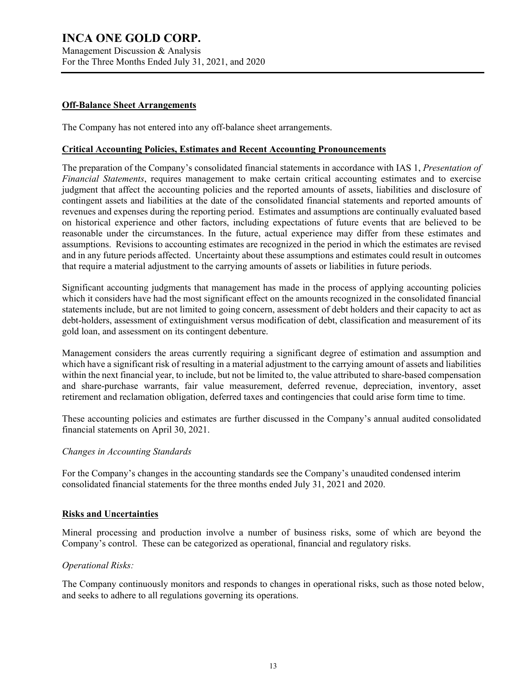Management Discussion & Analysis For the Three Months Ended July 31, 2021, and 2020

#### **Off-Balance Sheet Arrangements**

The Company has not entered into any off-balance sheet arrangements.

#### **Critical Accounting Policies, Estimates and Recent Accounting Pronouncements**

The preparation of the Company's consolidated financial statements in accordance with IAS 1, *Presentation of Financial Statements*, requires management to make certain critical accounting estimates and to exercise judgment that affect the accounting policies and the reported amounts of assets, liabilities and disclosure of contingent assets and liabilities at the date of the consolidated financial statements and reported amounts of revenues and expenses during the reporting period. Estimates and assumptions are continually evaluated based on historical experience and other factors, including expectations of future events that are believed to be reasonable under the circumstances. In the future, actual experience may differ from these estimates and assumptions. Revisions to accounting estimates are recognized in the period in which the estimates are revised and in any future periods affected. Uncertainty about these assumptions and estimates could result in outcomes that require a material adjustment to the carrying amounts of assets or liabilities in future periods.

Significant accounting judgments that management has made in the process of applying accounting policies which it considers have had the most significant effect on the amounts recognized in the consolidated financial statements include, but are not limited to going concern, assessment of debt holders and their capacity to act as debt-holders, assessment of extinguishment versus modification of debt, classification and measurement of its gold loan, and assessment on its contingent debenture.

Management considers the areas currently requiring a significant degree of estimation and assumption and which have a significant risk of resulting in a material adjustment to the carrying amount of assets and liabilities within the next financial year, to include, but not be limited to, the value attributed to share-based compensation and share-purchase warrants, fair value measurement, deferred revenue, depreciation, inventory, asset retirement and reclamation obligation, deferred taxes and contingencies that could arise form time to time.

These accounting policies and estimates are further discussed in the Company's annual audited consolidated financial statements on April 30, 2021.

### *Changes in Accounting Standards*

For the Company's changes in the accounting standards see the Company's unaudited condensed interim consolidated financial statements for the three months ended July 31, 2021 and 2020.

#### **Risks and Uncertainties**

Mineral processing and production involve a number of business risks, some of which are beyond the Company's control. These can be categorized as operational, financial and regulatory risks.

#### *Operational Risks:*

The Company continuously monitors and responds to changes in operational risks, such as those noted below, and seeks to adhere to all regulations governing its operations.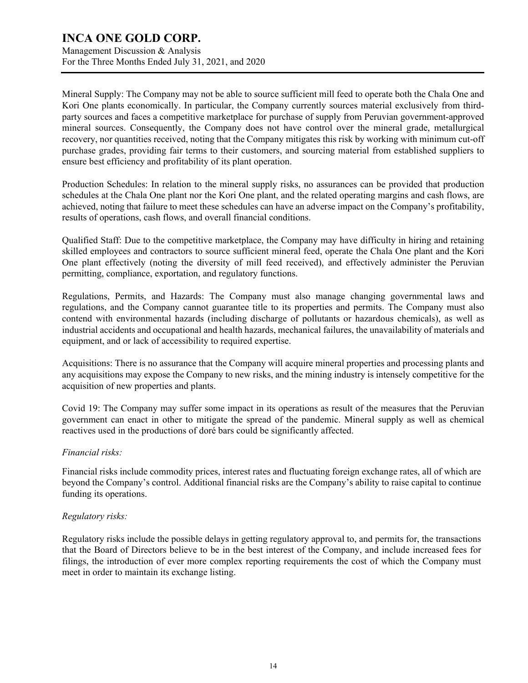Management Discussion & Analysis For the Three Months Ended July 31, 2021, and 2020

Mineral Supply: The Company may not be able to source sufficient mill feed to operate both the Chala One and Kori One plants economically. In particular, the Company currently sources material exclusively from thirdparty sources and faces a competitive marketplace for purchase of supply from Peruvian government-approved mineral sources. Consequently, the Company does not have control over the mineral grade, metallurgical recovery, nor quantities received, noting that the Company mitigates this risk by working with minimum cut-off purchase grades, providing fair terms to their customers, and sourcing material from established suppliers to ensure best efficiency and profitability of its plant operation.

Production Schedules: In relation to the mineral supply risks, no assurances can be provided that production schedules at the Chala One plant nor the Kori One plant, and the related operating margins and cash flows, are achieved, noting that failure to meet these schedules can have an adverse impact on the Company's profitability, results of operations, cash flows, and overall financial conditions.

Qualified Staff: Due to the competitive marketplace, the Company may have difficulty in hiring and retaining skilled employees and contractors to source sufficient mineral feed, operate the Chala One plant and the Kori One plant effectively (noting the diversity of mill feed received), and effectively administer the Peruvian permitting, compliance, exportation, and regulatory functions.

Regulations, Permits, and Hazards: The Company must also manage changing governmental laws and regulations, and the Company cannot guarantee title to its properties and permits. The Company must also contend with environmental hazards (including discharge of pollutants or hazardous chemicals), as well as industrial accidents and occupational and health hazards, mechanical failures, the unavailability of materials and equipment, and or lack of accessibility to required expertise.

Acquisitions: There is no assurance that the Company will acquire mineral properties and processing plants and any acquisitions may expose the Company to new risks, and the mining industry is intensely competitive for the acquisition of new properties and plants.

Covid 19: The Company may suffer some impact in its operations as result of the measures that the Peruvian government can enact in other to mitigate the spread of the pandemic. Mineral supply as well as chemical reactives used in the productions of doré bars could be significantly affected.

### *Financial risks:*

Financial risks include commodity prices, interest rates and fluctuating foreign exchange rates, all of which are beyond the Company's control. Additional financial risks are the Company's ability to raise capital to continue funding its operations.

### *Regulatory risks:*

Regulatory risks include the possible delays in getting regulatory approval to, and permits for, the transactions that the Board of Directors believe to be in the best interest of the Company, and include increased fees for filings, the introduction of ever more complex reporting requirements the cost of which the Company must meet in order to maintain its exchange listing.